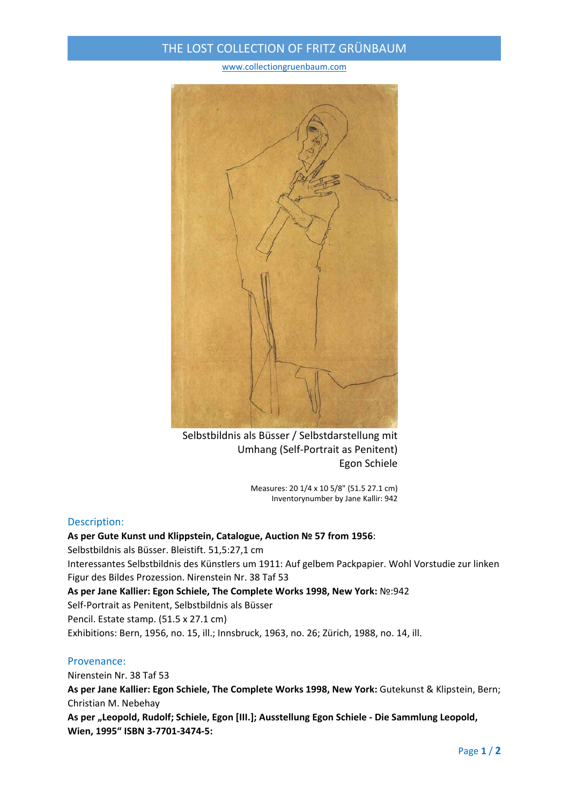## THE LOST COLLECTION OF FRITZ GRÜNBAUM

www.collectiongruenbaum.com



Selbstbildnis als Büsser / Selbstdarstellung mit Umhang (Self‐Portrait as Penitent) Egon Schiele

Measures: 20 1/4 x 10 5/8" (51.5 27.1 cm) Inventorynumber by Jane Kallir: 942

#### Description:

### **As per Gute Kunst und Klippstein, Catalogue, Auction № 57 from 1956**: Selbstbildnis als Büsser. Bleistift. 51,5:27,1 cm Interessantes Selbstbildnis des Künstlers um 1911: Auf gelbem Packpapier. Wohl Vorstudie zur linken Figur des Bildes Prozession. Nirenstein Nr. 38 Taf 53 **As per Jane Kallier: Egon Schiele, The Complete Works 1998, New York:** №:942 Self‐Portrait as Penitent, Selbstbildnis als Büsser Pencil. Estate stamp. (51.5 x 27.1 cm) Exhibitions: Bern, 1956, no. 15, ill.; Innsbruck, 1963, no. 26; Zürich, 1988, no. 14, ill.

#### Provenance:

Nirenstein Nr. 38 Taf 53

**As per Jane Kallier: Egon Schiele, The Complete Works 1998, New York:** Gutekunst & Klipstein, Bern; Christian M. Nebehay

**As per "Leopold, Rudolf; Schiele, Egon [III.]; Ausstellung Egon Schiele ‐ Die Sammlung Leopold, Wien, 1995" ISBN 3‐7701‐3474‐5:**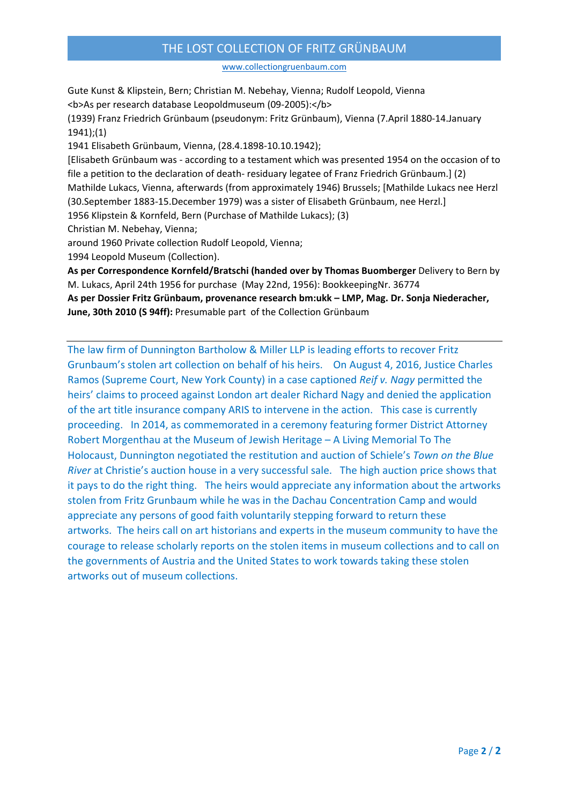## THE LOST COLLECTION OF FRITZ GRÜNBAUM

www.collectiongruenbaum.com

Gute Kunst & Klipstein, Bern; Christian M. Nebehay, Vienna; Rudolf Leopold, Vienna <b>As per research database Leopoldmuseum (09‐2005):</b> (1939) Franz Friedrich Grünbaum (pseudonym: Fritz Grünbaum), Vienna (7.April 1880‐14.January 1941);(1) 1941 Elisabeth Grünbaum, Vienna, (28.4.1898‐10.10.1942); [Elisabeth Grünbaum was ‐ according to a testament which was presented 1954 on the occasion of to file a petition to the declaration of death- residuary legatee of Franz Friedrich Grünbaum.] (2) Mathilde Lukacs, Vienna, afterwards (from approximately 1946) Brussels; [Mathilde Lukacs nee Herzl (30.September 1883‐15.December 1979) was a sister of Elisabeth Grünbaum, nee Herzl.] 1956 Klipstein & Kornfeld, Bern (Purchase of Mathilde Lukacs); (3) Christian M. Nebehay, Vienna; around 1960 Private collection Rudolf Leopold, Vienna; 1994 Leopold Museum (Collection).

**As per Correspondence Kornfeld/Bratschi (handed over by Thomas Buomberger** Delivery to Bern by M. Lukacs, April 24th 1956 for purchase (May 22nd, 1956): BookkeepingNr. 36774 **As per Dossier Fritz Grünbaum, provenance research bm:ukk – LMP, Mag. Dr. Sonja Niederacher, June, 30th 2010 (S 94ff):** Presumable part of the Collection Grünbaum

The law firm of Dunnington Bartholow & Miller LLP is leading efforts to recover Fritz Grunbaum's stolen art collection on behalf of his heirs. On August 4, 2016, Justice Charles Ramos (Supreme Court, New York County) in a case captioned *Reif v. Nagy* permitted the heirs' claims to proceed against London art dealer Richard Nagy and denied the application of the art title insurance company ARIS to intervene in the action. This case is currently proceeding. In 2014, as commemorated in a ceremony featuring former District Attorney Robert Morgenthau at the Museum of Jewish Heritage – A Living Memorial To The Holocaust, Dunnington negotiated the restitution and auction of Schiele's *Town on the Blue River* at Christie's auction house in a very successful sale. The high auction price shows that it pays to do the right thing. The heirs would appreciate any information about the artworks stolen from Fritz Grunbaum while he was in the Dachau Concentration Camp and would appreciate any persons of good faith voluntarily stepping forward to return these artworks. The heirs call on art historians and experts in the museum community to have the courage to release scholarly reports on the stolen items in museum collections and to call on the governments of Austria and the United States to work towards taking these stolen artworks out of museum collections.